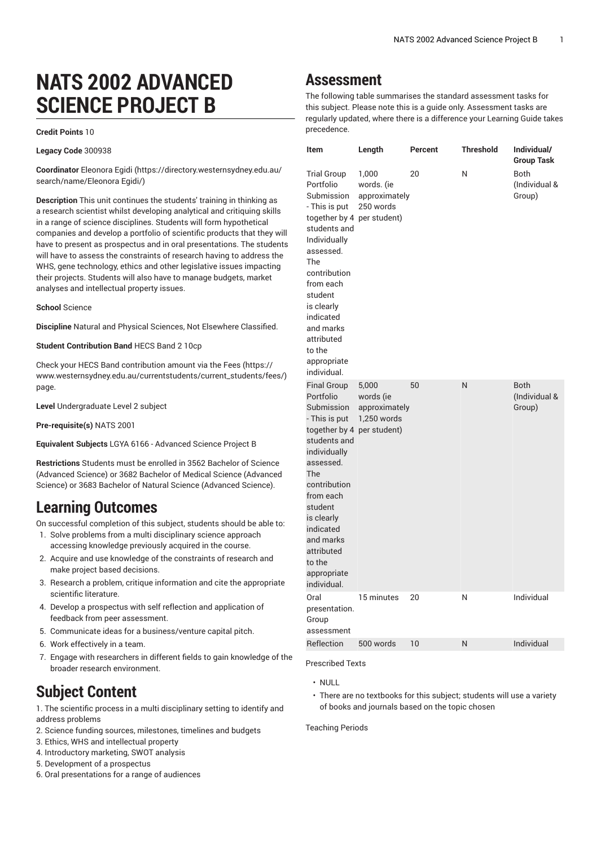# **NATS 2002 ADVANCED SCIENCE PROJECT B**

#### **Credit Points** 10

**Legacy Code** 300938

**Coordinator** [Eleonora](https://directory.westernsydney.edu.au/search/name/Eleonora Egidi/) Egidi [\(https://directory.westernsydney.edu.au/](https://directory.westernsydney.edu.au/search/name/Eleonora Egidi/) [search/name/Eleonora](https://directory.westernsydney.edu.au/search/name/Eleonora Egidi/) Egidi/)

**Description** This unit continues the students' training in thinking as a research scientist whilst developing analytical and critiquing skills in a range of science disciplines. Students will form hypothetical companies and develop a portfolio of scientific products that they will have to present as prospectus and in oral presentations. The students will have to assess the constraints of research having to address the WHS, gene technology, ethics and other legislative issues impacting their projects. Students will also have to manage budgets, market analyses and intellectual property issues.

**School** Science

**Discipline** Natural and Physical Sciences, Not Elsewhere Classified.

**Student Contribution Band** HECS Band 2 10cp

Check your HECS Band contribution amount via the [Fees \(https://](https://www.westernsydney.edu.au/currentstudents/current_students/fees/) [www.westernsydney.edu.au/currentstudents/current\\_students/fees/\)](https://www.westernsydney.edu.au/currentstudents/current_students/fees/) page.

**Level** Undergraduate Level 2 subject

**Pre-requisite(s)** [NATS](/search/?P=NATS%202001) 2001

**Equivalent Subjects** LGYA 6166 - Advanced Science Project B

**Restrictions** Students must be enrolled in 3562 Bachelor of Science (Advanced Science) or 3682 Bachelor of Medical Science (Advanced Science) or 3683 Bachelor of Natural Science (Advanced Science).

### **Learning Outcomes**

On successful completion of this subject, students should be able to:

- 1. Solve problems from a multi disciplinary science approach accessing knowledge previously acquired in the course.
- 2. Acquire and use knowledge of the constraints of research and make project based decisions.
- 3. Research a problem, critique information and cite the appropriate scientific literature.
- 4. Develop a prospectus with self reflection and application of feedback from peer assessment.
- 5. Communicate ideas for a business/venture capital pitch.
- 6. Work effectively in a team.
- 7. Engage with researchers in different fields to gain knowledge of the broader research environment.

# **Subject Content**

1. The scientific process in a multi disciplinary setting to identify and address problems

- 2. Science funding sources, milestones, timelines and budgets
- 3. Ethics, WHS and intellectual property
- 4. Introductory marketing, SWOT analysis
- 5. Development of a prospectus
- 6. Oral presentations for a range of audiences

## **Assessment**

The following table summarises the standard assessment tasks for this subject. Please note this is a guide only. Assessment tasks are regularly updated, where there is a difference your Learning Guide takes precedence.

| Item                                                                                                                                                                                                                                                                                   | Length                                             | Percent | <b>Threshold</b> | Individual/<br><b>Group Task</b>       |
|----------------------------------------------------------------------------------------------------------------------------------------------------------------------------------------------------------------------------------------------------------------------------------------|----------------------------------------------------|---------|------------------|----------------------------------------|
| <b>Trial Group</b><br>Portfolio<br>Submission<br>- This is put<br>together by 4 per student)<br>students and<br>Individually<br>assessed.<br>The<br>contribution<br>from each<br>student<br>is clearly<br>indicated<br>and marks<br>attributed<br>to the<br>appropriate<br>individual. | 1,000<br>words. (ie<br>approximately<br>250 words  | 20      | N                | Both<br>(Individual &<br>Group)        |
| <b>Final Group</b><br>Portfolio<br>Submission<br>- This is put<br>together by 4 per student)<br>students and<br>individually<br>assessed.<br>The<br>contribution<br>from each<br>student<br>is clearly<br>indicated<br>and marks<br>attributed<br>to the<br>appropriate<br>individual. | 5,000<br>words (ie<br>approximately<br>1,250 words | 50      | N                | <b>Both</b><br>(Individual &<br>Group) |
| Oral<br>presentation.<br>Group<br>assessment                                                                                                                                                                                                                                           | 15 minutes                                         | 20      | N                | Individual                             |
| Reflection                                                                                                                                                                                                                                                                             | 500 words                                          | 10      | N                | Individual                             |

Prescribed Texts

- $\cdot$  NULL
- There are no textbooks for this subject; students will use a variety of books and journals based on the topic chosen

Teaching Periods